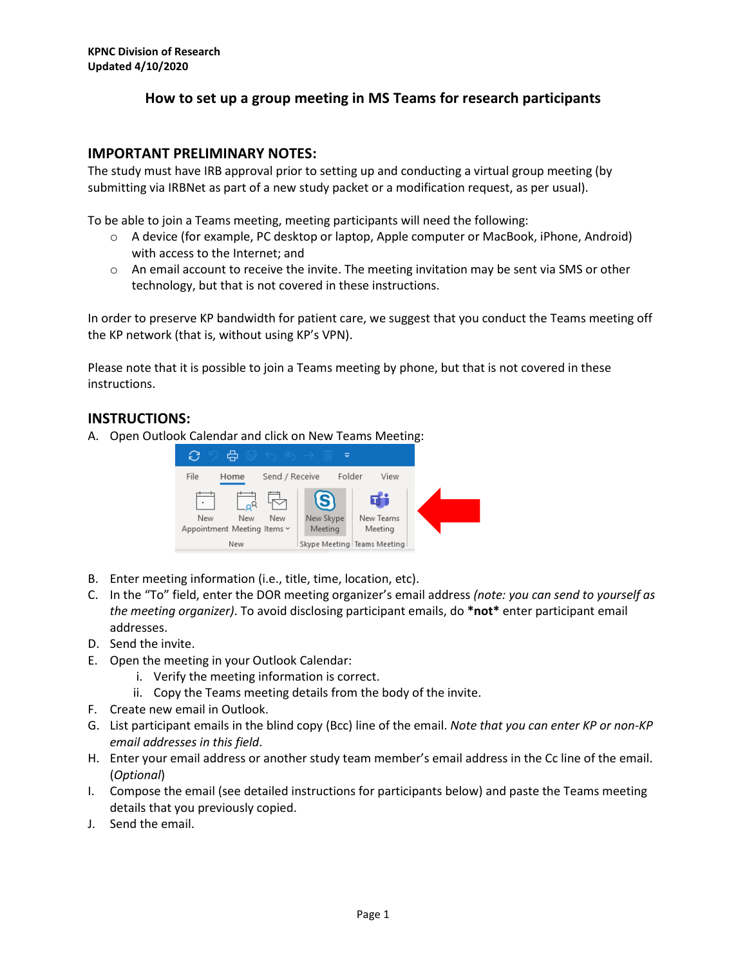# **How to set up a group meeting in MS Teams for research participants**

### **IMPORTANT PRELIMINARY NOTES:**

The study must have IRB approval prior to setting up and conducting a virtual group meeting (by submitting via IRBNet as part of a new study packet or a modification request, as per usual).

To be able to join a Teams meeting, meeting participants will need the following:

- o A device (for example, PC desktop or laptop, Apple computer or MacBook, iPhone, Android) with access to the Internet; and
- $\circ$  An email account to receive the invite. The meeting invitation may be sent via SMS or other technology, but that is not covered in these instructions.

In order to preserve KP bandwidth for patient care, we suggest that you conduct the Teams meeting off the KP network (that is, without using KP's VPN).

Please note that it is possible to join a Teams meeting by phone, but that is not covered in these instructions.

#### **INSTRUCTIONS:**

A. Open Outlook Calendar and click on New Teams Meeting:



- B. Enter meeting information (i.e., title, time, location, etc).
- C. In the "To" field, enter the DOR meeting organizer's email address *(note: you can send to yourself as the meeting organizer)*. To avoid disclosing participant emails, do **\*not\*** enter participant email addresses.
- D. Send the invite.
- E. Open the meeting in your Outlook Calendar:
	- i. Verify the meeting information is correct.
	- ii. Copy the Teams meeting details from the body of the invite.
- F. Create new email in Outlook.
- G. List participant emails in the blind copy (Bcc) line of the email. *Note that you can enter KP or non-KP email addresses in this field*.
- H. Enter your email address or another study team member's email address in the Cc line of the email. (*Optional*)
- I. Compose the email (see detailed instructions for participants below) and paste the Teams meeting details that you previously copied.
- J. Send the email.